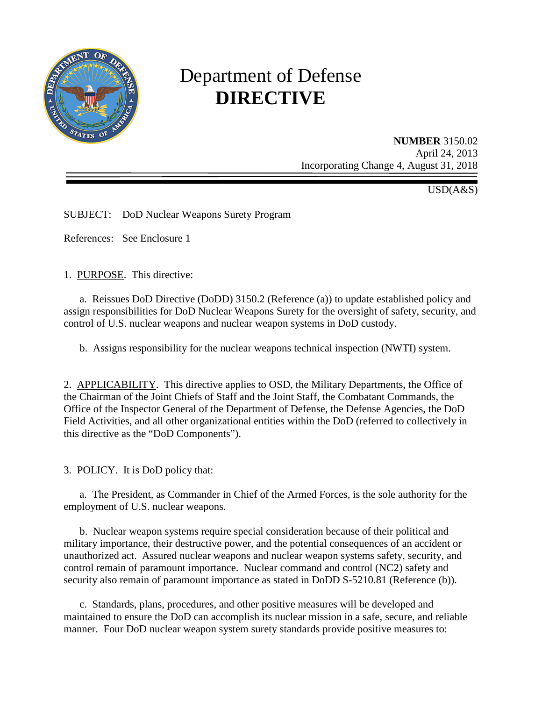

# Department of Defense **DIRECTIVE**

**NUMBER** 3150.02 April 24, 2013 Incorporating Change 4, August 31, 2018

USD(A&S)

SUBJECT: DoD Nuclear Weapons Surety Program

References: See Enclosure 1

1. PURPOSE. This directive:

a. Reissues DoD Directive (DoDD) 3150.2 (Reference (a)) to update established policy and assign responsibilities for DoD Nuclear Weapons Surety for the oversight of safety, security, and control of U.S. nuclear weapons and nuclear weapon systems in DoD custody.

b. Assigns responsibility for the nuclear weapons technical inspection (NWTI) system.

2. APPLICABILITY. This directive applies to OSD, the Military Departments, the Office of the Chairman of the Joint Chiefs of Staff and the Joint Staff, the Combatant Commands, the Office of the Inspector General of the Department of Defense, the Defense Agencies, the DoD Field Activities, and all other organizational entities within the DoD (referred to collectively in this directive as the "DoD Components").

3. POLICY. It is DoD policy that:

 a. The President, as Commander in Chief of the Armed Forces, is the sole authority for the employment of U.S. nuclear weapons.

 b. Nuclear weapon systems require special consideration because of their political and military importance, their destructive power, and the potential consequences of an accident or unauthorized act. Assured nuclear weapons and nuclear weapon systems safety, security, and control remain of paramount importance. Nuclear command and control (NC2) safety and security also remain of paramount importance as stated in DoDD S-5210.81 (Reference (b)).

c. Standards, plans, procedures, and other positive measures will be developed and maintained to ensure the DoD can accomplish its nuclear mission in a safe, secure, and reliable manner. Four DoD nuclear weapon system surety standards provide positive measures to: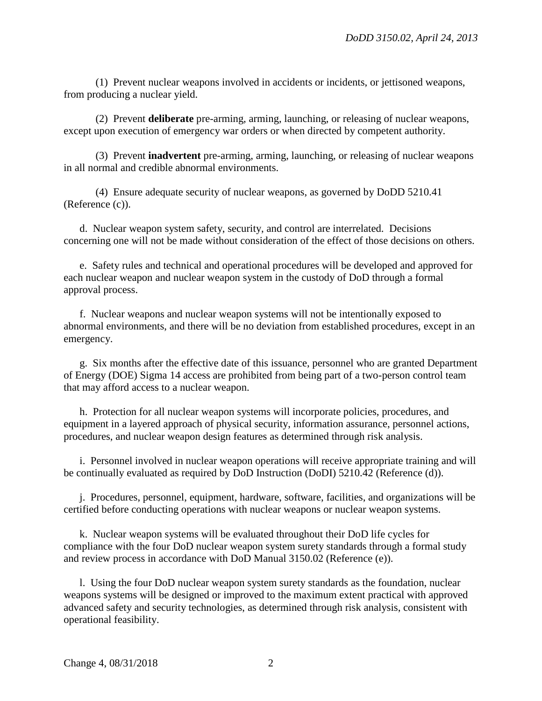(1) Prevent nuclear weapons involved in accidents or incidents, or jettisoned weapons, from producing a nuclear yield.

(2) Prevent **deliberate** pre-arming, arming, launching, or releasing of nuclear weapons, except upon execution of emergency war orders or when directed by competent authority.

(3) Prevent **inadvertent** pre-arming, arming, launching, or releasing of nuclear weapons in all normal and credible abnormal environments.

(4) Ensure adequate security of nuclear weapons, as governed by DoDD 5210.41 (Reference (c)).

d. Nuclear weapon system safety, security, and control are interrelated. Decisions concerning one will not be made without consideration of the effect of those decisions on others.

e. Safety rules and technical and operational procedures will be developed and approved for each nuclear weapon and nuclear weapon system in the custody of DoD through a formal approval process.

f. Nuclear weapons and nuclear weapon systems will not be intentionally exposed to abnormal environments, and there will be no deviation from established procedures, except in an emergency.

g. Six months after the effective date of this issuance, personnel who are granted Department of Energy (DOE) Sigma 14 access are prohibited from being part of a two-person control team that may afford access to a nuclear weapon.

h. Protection for all nuclear weapon systems will incorporate policies, procedures, and equipment in a layered approach of physical security, information assurance, personnel actions, procedures, and nuclear weapon design features as determined through risk analysis.

i. Personnel involved in nuclear weapon operations will receive appropriate training and will be continually evaluated as required by DoD Instruction (DoDI) 5210.42 (Reference (d)).

j. Procedures, personnel, equipment, hardware, software, facilities, and organizations will be certified before conducting operations with nuclear weapons or nuclear weapon systems.

k. Nuclear weapon systems will be evaluated throughout their DoD life cycles for compliance with the four DoD nuclear weapon system surety standards through a formal study and review process in accordance with DoD Manual 3150.02 (Reference (e)).

l. Using the four DoD nuclear weapon system surety standards as the foundation, nuclear weapons systems will be designed or improved to the maximum extent practical with approved advanced safety and security technologies, as determined through risk analysis, consistent with operational feasibility.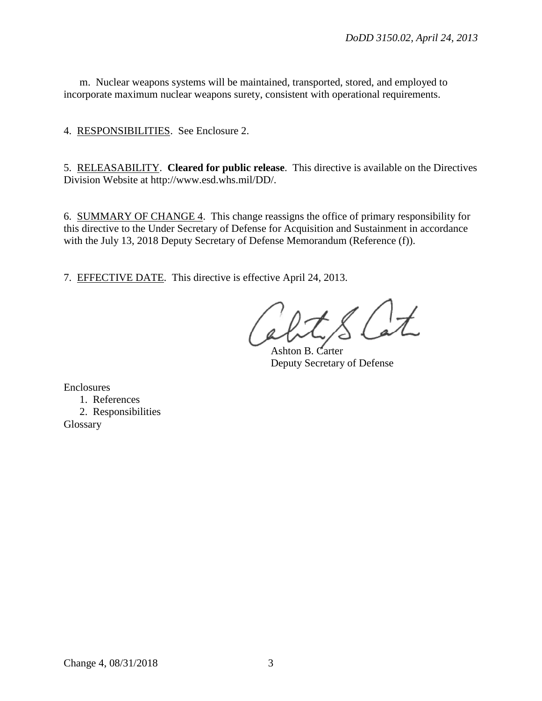m. Nuclear weapons systems will be maintained, transported, stored, and employed to incorporate maximum nuclear weapons surety, consistent with operational requirements.

4. RESPONSIBILITIES. See Enclosure 2.

5. RELEASABILITY. **Cleared for public release**. This directive is available on the Directives Division Website at http://www.esd.whs.mil/DD/.

6. SUMMARY OF CHANGE 4. This change reassigns the office of primary responsibility for this directive to the Under Secretary of Defense for Acquisition and Sustainment in accordance with the July 13, 2018 Deputy Secretary of Defense Memorandum (Reference (f)).

7. EFFECTIVE DATE. This directive is effective April 24, 2013.

Ashton B. Carter Deputy Secretary of Defense

Enclosures

1. References 2. Responsibilities Glossary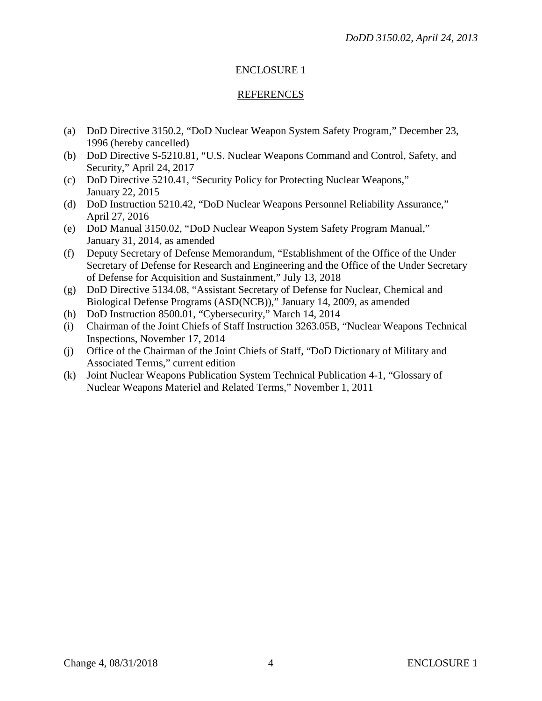# ENCLOSURE 1

## REFERENCES

- (a) DoD Directive 3150.2, "DoD Nuclear Weapon System Safety Program," December 23, 1996 (hereby cancelled)
- (b) DoD Directive S-5210.81, "U.S. Nuclear Weapons Command and Control, Safety, and Security," April 24, 2017
- (c) DoD Directive 5210.41, "Security Policy for Protecting Nuclear Weapons," January 22, 2015
- (d) DoD Instruction 5210.42, "DoD Nuclear Weapons Personnel Reliability Assurance," April 27, 2016
- (e) DoD Manual 3150.02, "DoD Nuclear Weapon System Safety Program Manual," January 31, 2014, as amended
- (f) Deputy Secretary of Defense Memorandum, "Establishment of the Office of the Under Secretary of Defense for Research and Engineering and the Office of the Under Secretary of Defense for Acquisition and Sustainment," July 13, 2018
- (g) DoD Directive 5134.08, "Assistant Secretary of Defense for Nuclear, Chemical and Biological Defense Programs (ASD(NCB))," January 14, 2009, as amended
- (h) DoD Instruction 8500.01, "Cybersecurity," March 14, 2014
- (i) Chairman of the Joint Chiefs of Staff Instruction 3263.05B, "Nuclear Weapons Technical Inspections, November 17, 2014
- (j) Office of the Chairman of the Joint Chiefs of Staff, "DoD Dictionary of Military and Associated Terms," current edition
- (k) Joint Nuclear Weapons Publication System Technical Publication 4-1, "Glossary of Nuclear Weapons Materiel and Related Terms," November 1, 2011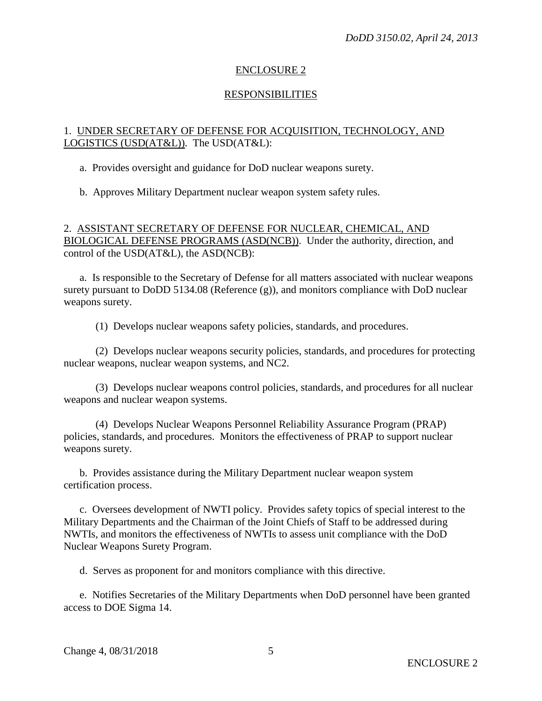## ENCLOSURE 2

#### RESPONSIBILITIES

## 1. UNDER SECRETARY OF DEFENSE FOR ACQUISITION, TECHNOLOGY, AND LOGISTICS (USD(AT&L)). The USD(AT&L):

a. Provides oversight and guidance for DoD nuclear weapons surety.

b. Approves Military Department nuclear weapon system safety rules.

2. ASSISTANT SECRETARY OF DEFENSE FOR NUCLEAR, CHEMICAL, AND BIOLOGICAL DEFENSE PROGRAMS (ASD(NCB)). Under the authority, direction, and control of the USD(AT&L), the ASD(NCB):

a. Is responsible to the Secretary of Defense for all matters associated with nuclear weapons surety pursuant to DoDD 5134.08 (Reference (g)), and monitors compliance with DoD nuclear weapons surety.

(1) Develops nuclear weapons safety policies, standards, and procedures.

(2) Develops nuclear weapons security policies, standards, and procedures for protecting nuclear weapons, nuclear weapon systems, and NC2.

(3) Develops nuclear weapons control policies, standards, and procedures for all nuclear weapons and nuclear weapon systems.

(4) Develops Nuclear Weapons Personnel Reliability Assurance Program (PRAP) policies, standards, and procedures. Monitors the effectiveness of PRAP to support nuclear weapons surety.

b. Provides assistance during the Military Department nuclear weapon system certification process.

c. Oversees development of NWTI policy. Provides safety topics of special interest to the Military Departments and the Chairman of the Joint Chiefs of Staff to be addressed during NWTIs, and monitors the effectiveness of NWTIs to assess unit compliance with the DoD Nuclear Weapons Surety Program.

d. Serves as proponent for and monitors compliance with this directive.

e. Notifies Secretaries of the Military Departments when DoD personnel have been granted access to DOE Sigma 14.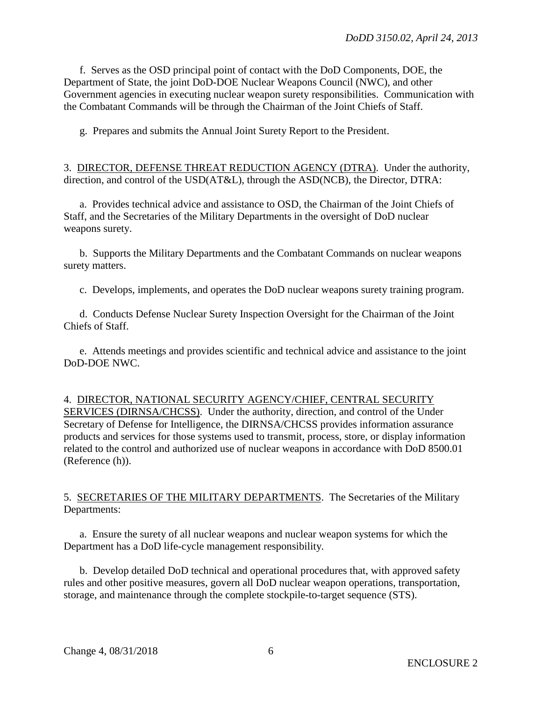f. Serves as the OSD principal point of contact with the DoD Components, DOE, the Department of State, the joint DoD-DOE Nuclear Weapons Council (NWC), and other Government agencies in executing nuclear weapon surety responsibilities. Communication with the Combatant Commands will be through the Chairman of the Joint Chiefs of Staff.

g. Prepares and submits the Annual Joint Surety Report to the President.

3. DIRECTOR, DEFENSE THREAT REDUCTION AGENCY (DTRA). Under the authority, direction, and control of the USD(AT&L), through the ASD(NCB), the Director, DTRA:

a. Provides technical advice and assistance to OSD, the Chairman of the Joint Chiefs of Staff, and the Secretaries of the Military Departments in the oversight of DoD nuclear weapons surety.

b. Supports the Military Departments and the Combatant Commands on nuclear weapons surety matters.

c. Develops, implements, and operates the DoD nuclear weapons surety training program.

d. Conducts Defense Nuclear Surety Inspection Oversight for the Chairman of the Joint Chiefs of Staff.

e. Attends meetings and provides scientific and technical advice and assistance to the joint DoD-DOE NWC.

4.DIRECTOR, NATIONAL SECURITY AGENCY/CHIEF, CENTRAL SECURITY SERVICES (DIRNSA/CHCSS). Under the authority, direction, and control of the Under Secretary of Defense for Intelligence, the DIRNSA/CHCSS provides information assurance products and services for those systems used to transmit, process, store, or display information related to the control and authorized use of nuclear weapons in accordance with DoD 8500.01 (Reference (h)).

5. SECRETARIES OF THE MILITARY DEPARTMENTS. The Secretaries of the Military Departments:

a. Ensure the surety of all nuclear weapons and nuclear weapon systems for which the Department has a DoD life-cycle management responsibility.

b. Develop detailed DoD technical and operational procedures that, with approved safety rules and other positive measures, govern all DoD nuclear weapon operations, transportation, storage, and maintenance through the complete stockpile-to-target sequence (STS).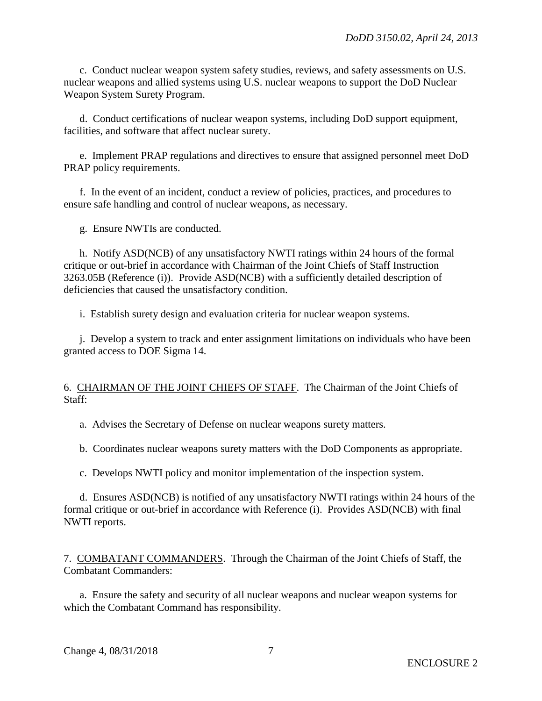c. Conduct nuclear weapon system safety studies, reviews, and safety assessments on U.S. nuclear weapons and allied systems using U.S. nuclear weapons to support the DoD Nuclear Weapon System Surety Program.

d. Conduct certifications of nuclear weapon systems, including DoD support equipment, facilities, and software that affect nuclear surety.

e. Implement PRAP regulations and directives to ensure that assigned personnel meet DoD PRAP policy requirements.

f. In the event of an incident, conduct a review of policies, practices, and procedures to ensure safe handling and control of nuclear weapons, as necessary.

g. Ensure NWTIs are conducted.

h. Notify ASD(NCB) of any unsatisfactory NWTI ratings within 24 hours of the formal critique or out-brief in accordance with Chairman of the Joint Chiefs of Staff Instruction 3263.05B (Reference (i)). Provide ASD(NCB) with a sufficiently detailed description of deficiencies that caused the unsatisfactory condition.

i. Establish surety design and evaluation criteria for nuclear weapon systems.

j. Develop a system to track and enter assignment limitations on individuals who have been granted access to DOE Sigma 14.

#### 6. CHAIRMAN OF THE JOINT CHIEFS OF STAFF. The Chairman of the Joint Chiefs of Staff:

a. Advises the Secretary of Defense on nuclear weapons surety matters.

b. Coordinates nuclear weapons surety matters with the DoD Components as appropriate.

c. Develops NWTI policy and monitor implementation of the inspection system.

d. Ensures ASD(NCB) is notified of any unsatisfactory NWTI ratings within 24 hours of the formal critique or out-brief in accordance with Reference (i). Provides ASD(NCB) with final NWTI reports.

7. COMBATANT COMMANDERS. Through the Chairman of the Joint Chiefs of Staff, the Combatant Commanders:

a. Ensure the safety and security of all nuclear weapons and nuclear weapon systems for which the Combatant Command has responsibility.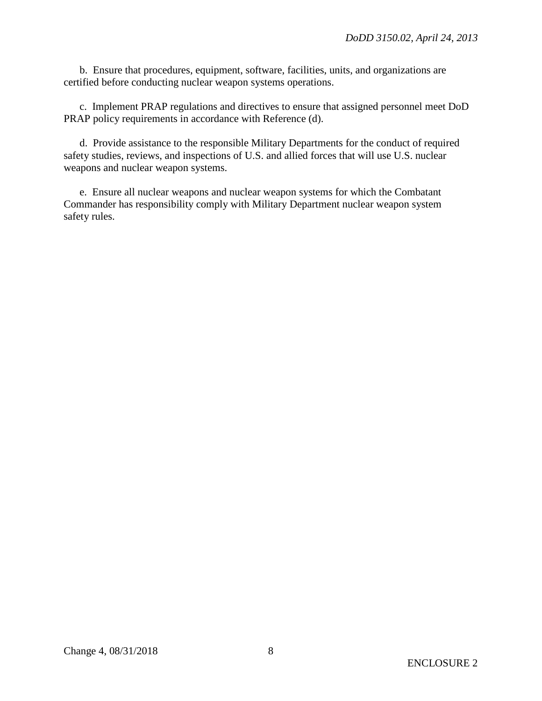b. Ensure that procedures, equipment, software, facilities, units, and organizations are certified before conducting nuclear weapon systems operations.

c. Implement PRAP regulations and directives to ensure that assigned personnel meet DoD PRAP policy requirements in accordance with Reference (d).

d. Provide assistance to the responsible Military Departments for the conduct of required safety studies, reviews, and inspections of U.S. and allied forces that will use U.S. nuclear weapons and nuclear weapon systems.

e. Ensure all nuclear weapons and nuclear weapon systems for which the Combatant Commander has responsibility comply with Military Department nuclear weapon system safety rules.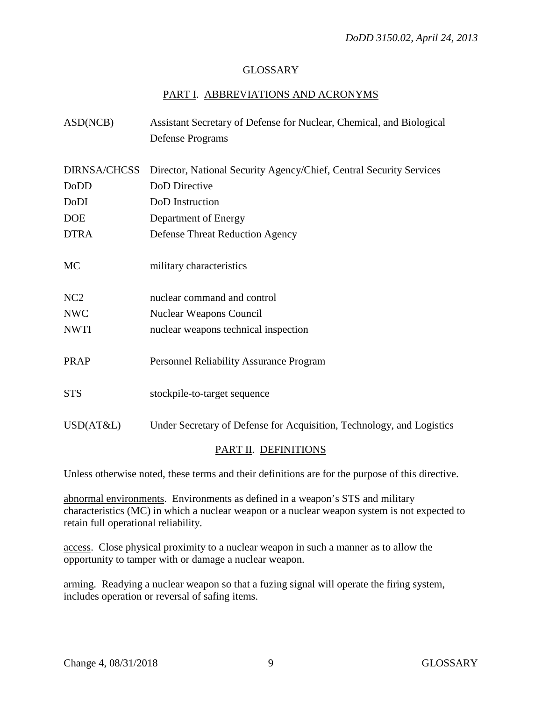## GLOSSARY

# PART I. ABBREVIATIONS AND ACRONYMS

| ASD(NCB)            | Assistant Secretary of Defense for Nuclear, Chemical, and Biological  |
|---------------------|-----------------------------------------------------------------------|
|                     | <b>Defense Programs</b>                                               |
| <b>DIRNSA/CHCSS</b> | Director, National Security Agency/Chief, Central Security Services   |
| DoDD                | DoD Directive                                                         |
| DoDI                | DoD Instruction                                                       |
| <b>DOE</b>          | Department of Energy                                                  |
| <b>DTRA</b>         | <b>Defense Threat Reduction Agency</b>                                |
| <b>MC</b>           | military characteristics                                              |
| NC <sub>2</sub>     | nuclear command and control                                           |
| <b>NWC</b>          | Nuclear Weapons Council                                               |
| <b>NWTI</b>         | nuclear weapons technical inspection                                  |
| PRAP                | Personnel Reliability Assurance Program                               |
| <b>STS</b>          | stockpile-to-target sequence                                          |
| USD(AT&L)           | Under Secretary of Defense for Acquisition, Technology, and Logistics |
|                     | PART II. DEFINITIONS                                                  |

Unless otherwise noted, these terms and their definitions are for the purpose of this directive.

abnormal environments. Environments as defined in a weapon's STS and military characteristics (MC) in which a nuclear weapon or a nuclear weapon system is not expected to retain full operational reliability.

access. Close physical proximity to a nuclear weapon in such a manner as to allow the opportunity to tamper with or damage a nuclear weapon.

arming. Readying a nuclear weapon so that a fuzing signal will operate the firing system, includes operation or reversal of safing items.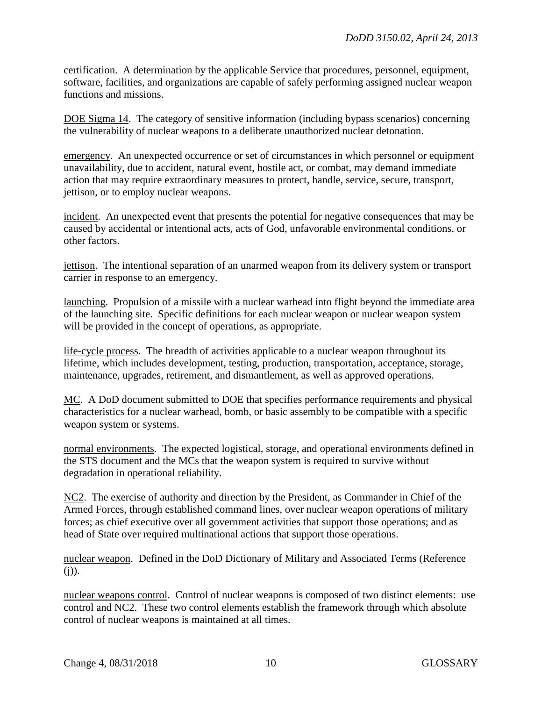certification. A determination by the applicable Service that procedures, personnel, equipment, software, facilities, and organizations are capable of safely performing assigned nuclear weapon functions and missions.

DOE Sigma 14. The category of sensitive information (including bypass scenarios) concerning the vulnerability of nuclear weapons to a deliberate unauthorized nuclear detonation.

emergency. An unexpected occurrence or set of circumstances in which personnel or equipment unavailability, due to accident, natural event, hostile act, or combat, may demand immediate action that may require extraordinary measures to protect, handle, service, secure, transport, jettison, or to employ nuclear weapons.

incident. An unexpected event that presents the potential for negative consequences that may be caused by accidental or intentional acts, acts of God, unfavorable environmental conditions, or other factors.

jettison. The intentional separation of an unarmed weapon from its delivery system or transport carrier in response to an emergency.

launching. Propulsion of a missile with a nuclear warhead into flight beyond the immediate area of the launching site. Specific definitions for each nuclear weapon or nuclear weapon system will be provided in the concept of operations, as appropriate.

life-cycle process. The breadth of activities applicable to a nuclear weapon throughout its lifetime, which includes development, testing, production, transportation, acceptance, storage, maintenance, upgrades, retirement, and dismantlement, as well as approved operations.

MC. A DoD document submitted to DOE that specifies performance requirements and physical characteristics for a nuclear warhead, bomb, or basic assembly to be compatible with a specific weapon system or systems.

normal environments. The expected logistical, storage, and operational environments defined in the STS document and the MCs that the weapon system is required to survive without degradation in operational reliability.

NC2. The exercise of authority and direction by the President, as Commander in Chief of the Armed Forces, through established command lines, over nuclear weapon operations of military forces; as chief executive over all government activities that support those operations; and as head of State over required multinational actions that support those operations.

nuclear weapon. Defined in the DoD Dictionary of Military and Associated Terms (Reference  $(i)$ ).

nuclear weapons control. Control of nuclear weapons is composed of two distinct elements: use control and NC2. These two control elements establish the framework through which absolute control of nuclear weapons is maintained at all times.